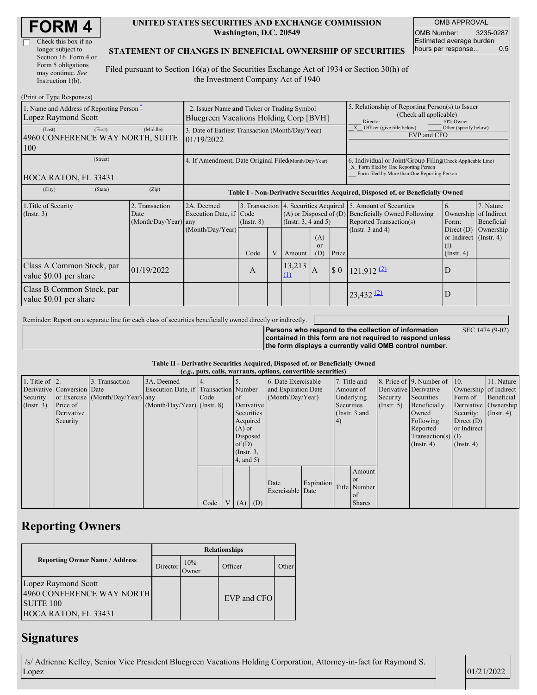| Check this box if no  |
|-----------------------|
| longer subject to     |
| Section 16. Form 4 or |
| Form 5 obligations    |
| may continue. See     |
| Instruction 1(b).     |

 $(D_{\text{rint}} \text{ or } \text{T}$ yne  $D_{\theta}$ 

#### **UNITED STATES SECURITIES AND EXCHANGE COMMISSION Washington, D.C. 20549**

OMB APPROVAL OMB Number: 3235-0287 Estimated average burden hours per response... 0.5

### **STATEMENT OF CHANGES IN BENEFICIAL OWNERSHIP OF SECURITIES**

Filed pursuant to Section 16(a) of the Securities Exchange Act of 1934 or Section 30(h) of the Investment Company Act of 1940

| $(1 \text{ min} \text{ of } 1 \text{ ypc} \text{ respectively})$<br>1. Name and Address of Reporting Person-<br>Lopez Raymond Scott | 2. Issuer Name and Ticker or Trading Symbol<br>Bluegreen Vacations Holding Corp [BVH] |                                                                                  |                 |                      |                    | 5. Relationship of Reporting Person(s) to Issuer<br>(Check all applicable)<br>10% Owner<br>Director |                                                                                                                                                                          |                                                      |                                                   |  |
|-------------------------------------------------------------------------------------------------------------------------------------|---------------------------------------------------------------------------------------|----------------------------------------------------------------------------------|-----------------|----------------------|--------------------|-----------------------------------------------------------------------------------------------------|--------------------------------------------------------------------------------------------------------------------------------------------------------------------------|------------------------------------------------------|---------------------------------------------------|--|
| (Last)<br>(First)<br>4960 CONFERENCE WAY NORTH, SUITE<br>100                                                                        | (Middle)                                                                              | 3. Date of Earliest Transaction (Month/Day/Year)<br>01/19/2022                   |                 |                      |                    |                                                                                                     | Other (specify below)<br>Officer (give title below)<br>EVP and CFO                                                                                                       |                                                      |                                                   |  |
| (Street)<br><b>BOCA RATON, FL 33431</b>                                                                                             | 4. If Amendment, Date Original Filed(Month/Day/Year)                                  |                                                                                  |                 |                      |                    |                                                                                                     | 6. Individual or Joint/Group Filing Check Applicable Line)<br>X Form filed by One Reporting Person<br>Form filed by More than One Reporting Person                       |                                                      |                                                   |  |
| (City)<br>(State)                                                                                                                   | (Zip)                                                                                 | Table I - Non-Derivative Securities Acquired, Disposed of, or Beneficially Owned |                 |                      |                    |                                                                                                     |                                                                                                                                                                          |                                                      |                                                   |  |
| 1. Title of Security<br>2. Transaction<br>$($ Instr. 3 $)$<br>Date<br>(Month/Day/Year) any                                          |                                                                                       | 2A. Deemed<br>Execution Date, if Code<br>(Month/Day/Year)                        | $($ Instr. $8)$ | (Insert. 3, 4 and 5) |                    |                                                                                                     | 3. Transaction 4. Securities Acquired 5. Amount of Securities<br>(A) or Disposed of (D) Beneficially Owned Following<br>Reported Transaction(s)<br>(Instr. $3$ and $4$ ) | 6.<br>Ownership of Indirect<br>Form:<br>Direct $(D)$ | 7. Nature<br>Beneficial<br>Ownership              |  |
|                                                                                                                                     |                                                                                       |                                                                                  | Code            |                      | Amount             | (A)<br>or<br>(D)                                                                                    | Price                                                                                                                                                                    |                                                      | or Indirect (Instr. 4)<br>(1)<br>$($ Instr. 4 $)$ |  |
| Class A Common Stock, par<br>value \$0.01 per share                                                                                 | 01/19/2022                                                                            |                                                                                  | A               |                      | 13,213<br>$\Omega$ | ΙA.                                                                                                 | $\sqrt{5}0$                                                                                                                                                              | $121,912$ <sup>(2)</sup>                             | D                                                 |  |
| Class B Common Stock, par<br>value \$0.01 per share                                                                                 |                                                                                       |                                                                                  |                 |                      |                    |                                                                                                     |                                                                                                                                                                          | $23,432$ $(2)$                                       | D                                                 |  |

Reminder: Report on a separate line for each class of securities beneficially owned directly or indirectly.

SEC 1474 (9-02)

**Persons who respond to the collection of information contained in this form are not required to respond unless the form displays a currently valid OMB control number.**

#### **Table II - Derivative Securities Acquired, Disposed of, or Beneficially Owned**

|                        | (e.g., puts, calls, warrants, options, convertible securities) |                                  |                                       |      |                 |               |            |                     |                   |              |                 |                       |                              |                       |                      |
|------------------------|----------------------------------------------------------------|----------------------------------|---------------------------------------|------|-----------------|---------------|------------|---------------------|-------------------|--------------|-----------------|-----------------------|------------------------------|-----------------------|----------------------|
| 1. Title of $\vert$ 2. |                                                                | 3. Transaction                   | 3A. Deemed                            |      |                 |               |            | 6. Date Exercisable |                   | 7. Title and |                 |                       | 8. Price of 9. Number of 10. |                       | 11. Nature           |
|                        | Derivative Conversion Date                                     |                                  | Execution Date, if Transaction Number |      |                 |               |            | and Expiration Date | Amount of         |              |                 | Derivative Derivative |                              | Ownership of Indirect |                      |
| Security               |                                                                | or Exercise (Month/Day/Year) any |                                       | Code |                 | <sub>of</sub> |            | (Month/Day/Year)    |                   | Underlying   |                 | Security              | Securities                   | Form of               | Beneficial           |
| $($ Instr. 3 $)$       | Price of                                                       |                                  | $(Month/Day/Year)$ (Instr. 8)         |      |                 |               | Derivative |                     |                   | Securities   |                 | (Insert. 5)           | Beneficially                 |                       | Derivative Ownership |
|                        | Derivative                                                     |                                  |                                       |      |                 | Securities    |            |                     |                   |              | (Instr. $3$ and |                       | Owned                        | Security:             | $($ Instr. 4 $)$     |
|                        | Security                                                       |                                  |                                       |      |                 | Acquired      |            |                     |                   | (4)          |                 |                       | Following                    | Direct $(D)$          |                      |
|                        |                                                                |                                  |                                       |      | $(A)$ or        |               |            |                     |                   |              |                 | Reported              | or Indirect                  |                       |                      |
|                        |                                                                |                                  |                                       |      | Disposed        |               |            |                     |                   |              |                 |                       | $Transaction(s)$ (I)         |                       |                      |
|                        |                                                                |                                  |                                       |      | of $(D)$        |               |            |                     |                   |              |                 |                       | $($ Instr. 4 $)$             | $($ Instr. 4 $)$      |                      |
|                        |                                                                |                                  |                                       |      | $($ Instr. $3,$ |               |            |                     |                   |              |                 |                       |                              |                       |                      |
|                        |                                                                |                                  |                                       |      | $4$ , and $5$ ) |               |            |                     |                   |              |                 |                       |                              |                       |                      |
|                        |                                                                |                                  |                                       |      |                 |               |            |                     |                   |              | Amount          |                       |                              |                       |                      |
|                        |                                                                |                                  |                                       |      |                 |               |            | Date                | <b>Expiration</b> |              | or or           |                       |                              |                       |                      |
|                        |                                                                |                                  |                                       |      |                 |               |            | Exercisable Date    |                   |              | Title Number    |                       |                              |                       |                      |
|                        |                                                                |                                  |                                       |      |                 |               |            |                     |                   |              | of              |                       |                              |                       |                      |
|                        |                                                                |                                  |                                       | Code |                 |               | $V(A)$ (D) |                     |                   |              | <b>Shares</b>   |                       |                              |                       |                      |

## **Reporting Owners**

|                                                                                              | <b>Relationships</b> |              |             |       |  |  |  |  |  |
|----------------------------------------------------------------------------------------------|----------------------|--------------|-------------|-------|--|--|--|--|--|
| <b>Reporting Owner Name / Address</b>                                                        | Director             | 10%<br>)wner | Officer     | Other |  |  |  |  |  |
| Lopez Raymond Scott<br>4960 CONFERENCE WAY NORTH<br><b>SUITE 100</b><br>BOCA RATON, FL 33431 |                      |              | EVP and CFO |       |  |  |  |  |  |

## **Signatures**

/s/ Adrienne Kelley, Senior Vice President Bluegreen Vacations Holding Corporation, Attorney-in-fact for Raymond S.  $L$ opez  $|01/21/2022|$